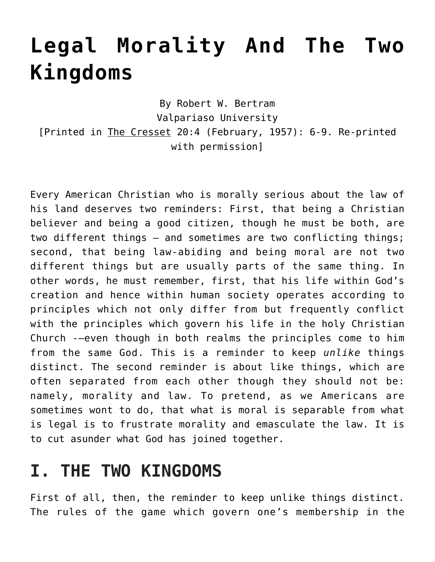# **[Legal Morality And The Two](https://crossings.org/legal-morality/) [Kingdoms](https://crossings.org/legal-morality/)**

By Robert W. Bertram Valpariaso University [Printed in The Cresset 20:4 (February, 1957): 6-9. Re-printed with permission]

Every American Christian who is morally serious about the law of his land deserves two reminders: First, that being a Christian believer and being a good citizen, though he must be both, are two different things – and sometimes are two conflicting things; second, that being law-abiding and being moral are not two different things but are usually parts of the same thing. In other words, he must remember, first, that his life within God's creation and hence within human society operates according to principles which not only differ from but frequently conflict with the principles which govern his life in the holy Christian Church -–even though in both realms the principles come to him from the same God. This is a reminder to keep *unlike* things distinct. The second reminder is about like things, which are often separated from each other though they should not be: namely, morality and law. To pretend, as we Americans are sometimes wont to do, that what is moral is separable from what is legal is to frustrate morality and emasculate the law. It is to cut asunder what God has joined together.

## **I. THE TWO KINGDOMS**

First of all, then, the reminder to keep unlike things distinct. The rules of the game which govern one's membership in the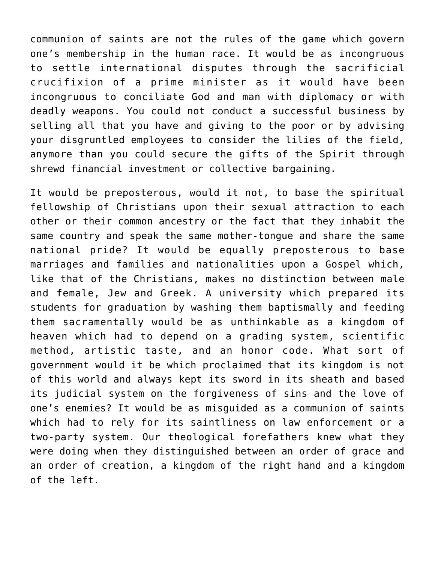communion of saints are not the rules of the game which govern one's membership in the human race. It would be as incongruous to settle international disputes through the sacrificial crucifixion of a prime minister as it would have been incongruous to conciliate God and man with diplomacy or with deadly weapons. You could not conduct a successful business by selling all that you have and giving to the poor or by advising your disgruntled employees to consider the lilies of the field, anymore than you could secure the gifts of the Spirit through shrewd financial investment or collective bargaining.

It would be preposterous, would it not, to base the spiritual fellowship of Christians upon their sexual attraction to each other or their common ancestry or the fact that they inhabit the same country and speak the same mother-tongue and share the same national pride? It would be equally preposterous to base marriages and families and nationalities upon a Gospel which, like that of the Christians, makes no distinction between male and female, Jew and Greek. A university which prepared its students for graduation by washing them baptismally and feeding them sacramentally would be as unthinkable as a kingdom of heaven which had to depend on a grading system, scientific method, artistic taste, and an honor code. What sort of government would it be which proclaimed that its kingdom is not of this world and always kept its sword in its sheath and based its judicial system on the forgiveness of sins and the love of one's enemies? It would be as misguided as a communion of saints which had to rely for its saintliness on law enforcement or a two-party system. Our theological forefathers knew what they were doing when they distinguished between an order of grace and an order of creation, a kingdom of the right hand and a kingdom of the left.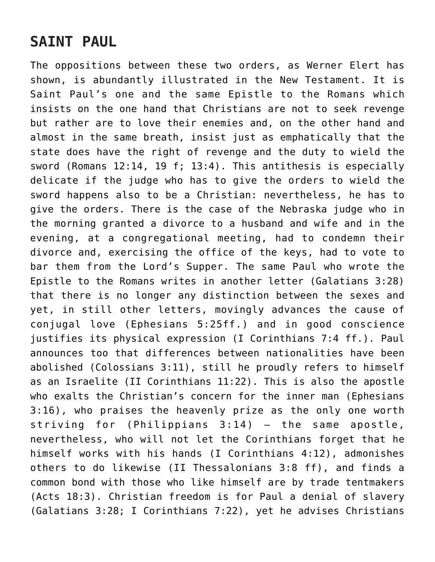## **SAINT PAUL**

The oppositions between these two orders, as Werner Elert has shown, is abundantly illustrated in the New Testament. It is Saint Paul's one and the same Epistle to the Romans which insists on the one hand that Christians are not to seek revenge but rather are to love their enemies and, on the other hand and almost in the same breath, insist just as emphatically that the state does have the right of revenge and the duty to wield the sword (Romans 12:14, 19 f; 13:4). This antithesis is especially delicate if the judge who has to give the orders to wield the sword happens also to be a Christian: nevertheless, he has to give the orders. There is the case of the Nebraska judge who in the morning granted a divorce to a husband and wife and in the evening, at a congregational meeting, had to condemn their divorce and, exercising the office of the keys, had to vote to bar them from the Lord's Supper. The same Paul who wrote the Epistle to the Romans writes in another letter (Galatians 3:28) that there is no longer any distinction between the sexes and yet, in still other letters, movingly advances the cause of conjugal love (Ephesians 5:25ff.) and in good conscience justifies its physical expression (I Corinthians 7:4 ff.). Paul announces too that differences between nationalities have been abolished (Colossians 3:11), still he proudly refers to himself as an Israelite (II Corinthians 11:22). This is also the apostle who exalts the Christian's concern for the inner man (Ephesians 3:16), who praises the heavenly prize as the only one worth striving for (Philippians 3:14) – the same apostle, nevertheless, who will not let the Corinthians forget that he himself works with his hands (I Corinthians 4:12), admonishes others to do likewise (II Thessalonians 3:8 ff), and finds a common bond with those who like himself are by trade tentmakers (Acts 18:3). Christian freedom is for Paul a denial of slavery (Galatians 3:28; I Corinthians 7:22), yet he advises Christians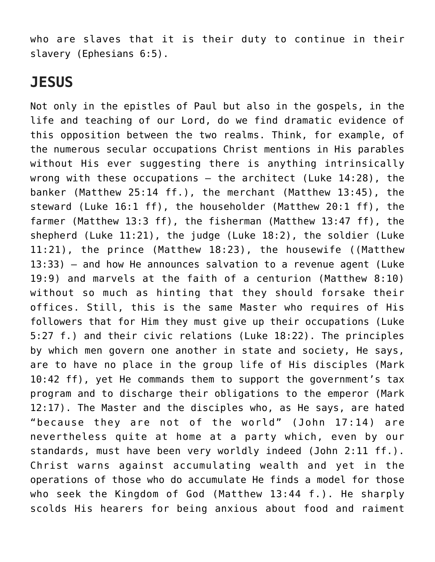who are slaves that it is their duty to continue in their slavery (Ephesians 6:5).

#### **JESUS**

Not only in the epistles of Paul but also in the gospels, in the life and teaching of our Lord, do we find dramatic evidence of this opposition between the two realms. Think, for example, of the numerous secular occupations Christ mentions in His parables without His ever suggesting there is anything intrinsically wrong with these occupations – the architect (Luke 14:28), the banker (Matthew 25:14 ff.), the merchant (Matthew 13:45), the steward (Luke 16:1 ff), the householder (Matthew 20:1 ff), the farmer (Matthew 13:3 ff), the fisherman (Matthew 13:47 ff), the shepherd (Luke 11:21), the judge (Luke 18:2), the soldier (Luke 11:21), the prince (Matthew 18:23), the housewife ((Matthew 13:33) – and how He announces salvation to a revenue agent (Luke 19:9) and marvels at the faith of a centurion (Matthew 8:10) without so much as hinting that they should forsake their offices. Still, this is the same Master who requires of His followers that for Him they must give up their occupations (Luke 5:27 f.) and their civic relations (Luke 18:22). The principles by which men govern one another in state and society, He says, are to have no place in the group life of His disciples (Mark 10:42 ff), yet He commands them to support the government's tax program and to discharge their obligations to the emperor (Mark 12:17). The Master and the disciples who, as He says, are hated "because they are not of the world" (John 17:14) are nevertheless quite at home at a party which, even by our standards, must have been very worldly indeed (John 2:11 ff.). Christ warns against accumulating wealth and yet in the operations of those who do accumulate He finds a model for those who seek the Kingdom of God (Matthew 13:44 f.). He sharply scolds His hearers for being anxious about food and raiment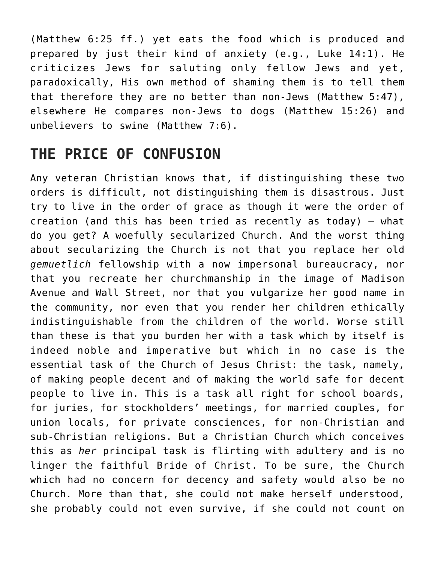(Matthew 6:25 ff.) yet eats the food which is produced and prepared by just their kind of anxiety (e.g., Luke 14:1). He criticizes Jews for saluting only fellow Jews and yet, paradoxically, His own method of shaming them is to tell them that therefore they are no better than non-Jews (Matthew 5:47), elsewhere He compares non-Jews to dogs (Matthew 15:26) and unbelievers to swine (Matthew 7:6).

#### **THE PRICE OF CONFUSION**

Any veteran Christian knows that, if distinguishing these two orders is difficult, not distinguishing them is disastrous. Just try to live in the order of grace as though it were the order of creation (and this has been tried as recently as today) – what do you get? A woefully secularized Church. And the worst thing about secularizing the Church is not that you replace her old *gemuetlich* fellowship with a now impersonal bureaucracy, nor that you recreate her churchmanship in the image of Madison Avenue and Wall Street, nor that you vulgarize her good name in the community, nor even that you render her children ethically indistinguishable from the children of the world. Worse still than these is that you burden her with a task which by itself is indeed noble and imperative but which in no case is the essential task of the Church of Jesus Christ: the task, namely, of making people decent and of making the world safe for decent people to live in. This is a task all right for school boards, for juries, for stockholders' meetings, for married couples, for union locals, for private consciences, for non-Christian and sub-Christian religions. But a Christian Church which conceives this as *her* principal task is flirting with adultery and is no linger the faithful Bride of Christ. To be sure, the Church which had no concern for decency and safety would also be no Church. More than that, she could not make herself understood, she probably could not even survive, if she could not count on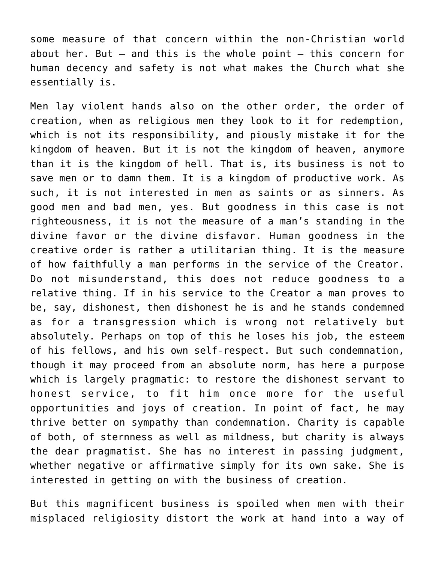some measure of that concern within the non-Christian world about her. But – and this is the whole point – this concern for human decency and safety is not what makes the Church what she essentially is.

Men lay violent hands also on the other order, the order of creation, when as religious men they look to it for redemption, which is not its responsibility, and piously mistake it for the kingdom of heaven. But it is not the kingdom of heaven, anymore than it is the kingdom of hell. That is, its business is not to save men or to damn them. It is a kingdom of productive work. As such, it is not interested in men as saints or as sinners. As good men and bad men, yes. But goodness in this case is not righteousness, it is not the measure of a man's standing in the divine favor or the divine disfavor. Human goodness in the creative order is rather a utilitarian thing. It is the measure of how faithfully a man performs in the service of the Creator. Do not misunderstand, this does not reduce goodness to a relative thing. If in his service to the Creator a man proves to be, say, dishonest, then dishonest he is and he stands condemned as for a transgression which is wrong not relatively but absolutely. Perhaps on top of this he loses his job, the esteem of his fellows, and his own self-respect. But such condemnation, though it may proceed from an absolute norm, has here a purpose which is largely pragmatic: to restore the dishonest servant to honest service, to fit him once more for the useful opportunities and joys of creation. In point of fact, he may thrive better on sympathy than condemnation. Charity is capable of both, of sternness as well as mildness, but charity is always the dear pragmatist. She has no interest in passing judgment, whether negative or affirmative simply for its own sake. She is interested in getting on with the business of creation.

But this magnificent business is spoiled when men with their misplaced religiosity distort the work at hand into a way of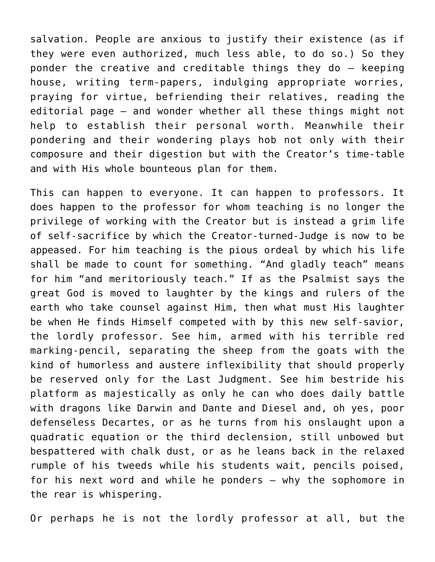salvation. People are anxious to justify their existence (as if they were even authorized, much less able, to do so.) So they ponder the creative and creditable things they do – keeping house, writing term-papers, indulging appropriate worries, praying for virtue, befriending their relatives, reading the editorial page – and wonder whether all these things might not help to establish their personal worth. Meanwhile their pondering and their wondering plays hob not only with their composure and their digestion but with the Creator's time-table and with His whole bounteous plan for them.

This can happen to everyone. It can happen to professors. It does happen to the professor for whom teaching is no longer the privilege of working with the Creator but is instead a grim life of self-sacrifice by which the Creator-turned-Judge is now to be appeased. For him teaching is the pious ordeal by which his life shall be made to count for something. "And gladly teach" means for him "and meritoriously teach." If as the Psalmist says the great God is moved to laughter by the kings and rulers of the earth who take counsel against Him, then what must His laughter be when He finds Himself competed with by this new self-savior, the lordly professor. See him, armed with his terrible red marking-pencil, separating the sheep from the goats with the kind of humorless and austere inflexibility that should properly be reserved only for the Last Judgment. See him bestride his platform as majestically as only he can who does daily battle with dragons like Darwin and Dante and Diesel and, oh yes, poor defenseless Decartes, or as he turns from his onslaught upon a quadratic equation or the third declension, still unbowed but bespattered with chalk dust, or as he leans back in the relaxed rumple of his tweeds while his students wait, pencils poised, for his next word and while he ponders – why the sophomore in the rear is whispering.

Or perhaps he is not the lordly professor at all, but the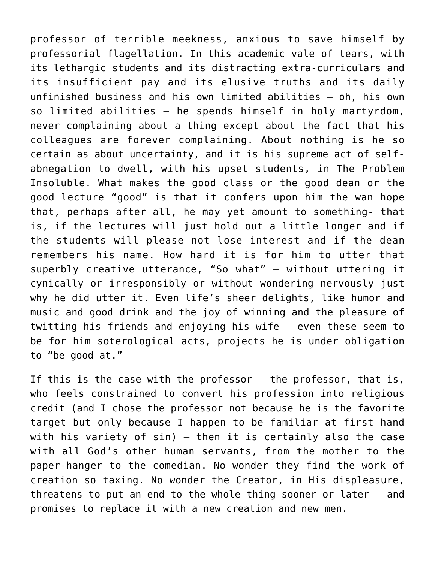professor of terrible meekness, anxious to save himself by professorial flagellation. In this academic vale of tears, with its lethargic students and its distracting extra-curriculars and its insufficient pay and its elusive truths and its daily unfinished business and his own limited abilities – oh, his own so limited abilities – he spends himself in holy martyrdom, never complaining about a thing except about the fact that his colleagues are forever complaining. About nothing is he so certain as about uncertainty, and it is his supreme act of selfabnegation to dwell, with his upset students, in The Problem Insoluble. What makes the good class or the good dean or the good lecture "good" is that it confers upon him the wan hope that, perhaps after all, he may yet amount to something- that is, if the lectures will just hold out a little longer and if the students will please not lose interest and if the dean remembers his name. How hard it is for him to utter that superbly creative utterance, "So what" – without uttering it cynically or irresponsibly or without wondering nervously just why he did utter it. Even life's sheer delights, like humor and music and good drink and the joy of winning and the pleasure of twitting his friends and enjoying his wife – even these seem to be for him soterological acts, projects he is under obligation to "be good at."

If this is the case with the professor – the professor, that is, who feels constrained to convert his profession into religious credit (and I chose the professor not because he is the favorite target but only because I happen to be familiar at first hand with his variety of sin) – then it is certainly also the case with all God's other human servants, from the mother to the paper-hanger to the comedian. No wonder they find the work of creation so taxing. No wonder the Creator, in His displeasure, threatens to put an end to the whole thing sooner or later – and promises to replace it with a new creation and new men.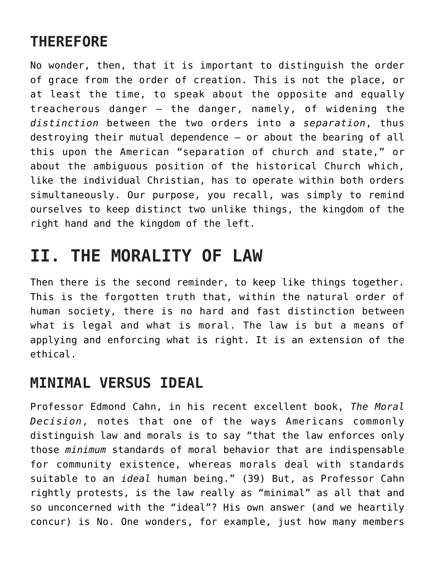## **THEREFORE**

No wonder, then, that it is important to distinguish the order of grace from the order of creation. This is not the place, or at least the time, to speak about the opposite and equally treacherous danger – the danger, namely, of widening the *distinction* between the two orders into a *separation*, thus destroying their mutual dependence – or about the bearing of all this upon the American "separation of church and state," or about the ambiguous position of the historical Church which, like the individual Christian, has to operate within both orders simultaneously. Our purpose, you recall, was simply to remind ourselves to keep distinct two unlike things, the kingdom of the right hand and the kingdom of the left.

## **II. THE MORALITY OF LAW**

Then there is the second reminder, to keep like things together. This is the forgotten truth that, within the natural order of human society, there is no hard and fast distinction between what is legal and what is moral. The law is but a means of applying and enforcing what is right. It is an extension of the ethical.

#### **MINIMAL VERSUS IDEAL**

Professor Edmond Cahn, in his recent excellent book, *The Moral Decision*, notes that one of the ways Americans commonly distinguish law and morals is to say "that the law enforces only those *minimum* standards of moral behavior that are indispensable for community existence, whereas morals deal with standards suitable to an *ideal* human being." (39) But, as Professor Cahn rightly protests, is the law really as "minimal" as all that and so unconcerned with the "ideal"? His own answer (and we heartily concur) is No. One wonders, for example, just how many members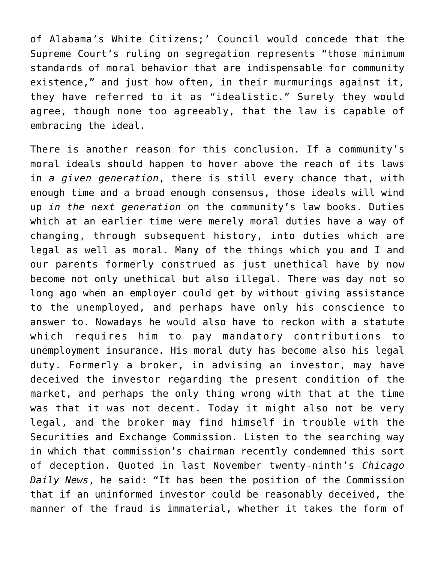of Alabama's White Citizens;' Council would concede that the Supreme Court's ruling on segregation represents "those minimum standards of moral behavior that are indispensable for community existence," and just how often, in their murmurings against it, they have referred to it as "idealistic." Surely they would agree, though none too agreeably, that the law is capable of embracing the ideal.

There is another reason for this conclusion. If a community's moral ideals should happen to hover above the reach of its laws in *a given generation*, there is still every chance that, with enough time and a broad enough consensus, those ideals will wind up *in the next generation* on the community's law books. Duties which at an earlier time were merely moral duties have a way of changing, through subsequent history, into duties which are legal as well as moral. Many of the things which you and I and our parents formerly construed as just unethical have by now become not only unethical but also illegal. There was day not so long ago when an employer could get by without giving assistance to the unemployed, and perhaps have only his conscience to answer to. Nowadays he would also have to reckon with a statute which requires him to pay mandatory contributions to unemployment insurance. His moral duty has become also his legal duty. Formerly a broker, in advising an investor, may have deceived the investor regarding the present condition of the market, and perhaps the only thing wrong with that at the time was that it was not decent. Today it might also not be very legal, and the broker may find himself in trouble with the Securities and Exchange Commission. Listen to the searching way in which that commission's chairman recently condemned this sort of deception. Quoted in last November twenty-ninth's *Chicago Daily News*, he said: "It has been the position of the Commission that if an uninformed investor could be reasonably deceived, the manner of the fraud is immaterial, whether it takes the form of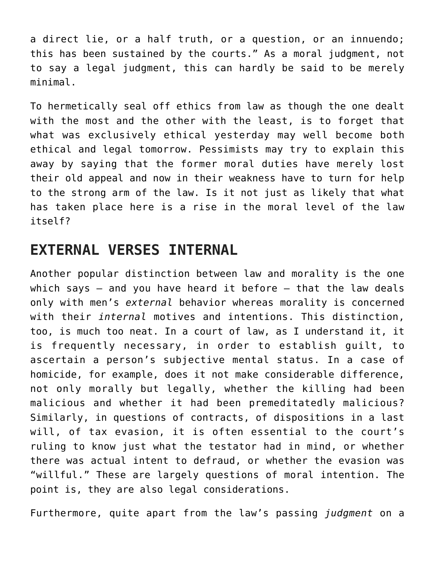a direct lie, or a half truth, or a question, or an innuendo; this has been sustained by the courts." As a moral judgment, not to say a legal judgment, this can hardly be said to be merely minimal.

To hermetically seal off ethics from law as though the one dealt with the most and the other with the least, is to forget that what was exclusively ethical yesterday may well become both ethical and legal tomorrow. Pessimists may try to explain this away by saying that the former moral duties have merely lost their old appeal and now in their weakness have to turn for help to the strong arm of the law. Is it not just as likely that what has taken place here is a rise in the moral level of the law itself?

#### **EXTERNAL VERSES INTERNAL**

Another popular distinction between law and morality is the one which says  $-$  and you have heard it before  $-$  that the law deals only with men's *external* behavior whereas morality is concerned with their *internal* motives and intentions. This distinction, too, is much too neat. In a court of law, as I understand it, it is frequently necessary, in order to establish guilt, to ascertain a person's subjective mental status. In a case of homicide, for example, does it not make considerable difference, not only morally but legally, whether the killing had been malicious and whether it had been premeditatedly malicious? Similarly, in questions of contracts, of dispositions in a last will, of tax evasion, it is often essential to the court's ruling to know just what the testator had in mind, or whether there was actual intent to defraud, or whether the evasion was "willful." These are largely questions of moral intention. The point is, they are also legal considerations.

Furthermore, quite apart from the law's passing *judgment* on a